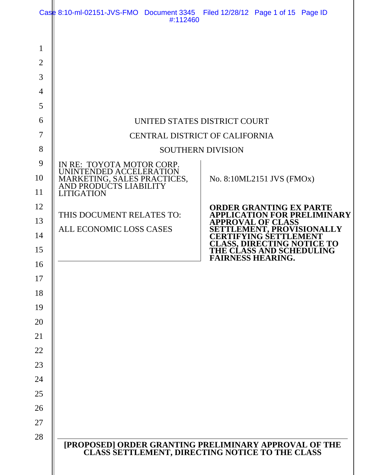|                                                                                                  | Case 8:10-ml-02151-JVS-FMO Document 3345 Filed 12/28/12 Page 1 of 15 Page ID<br>#:112460                                           |                                                                                                                                                                                  |
|--------------------------------------------------------------------------------------------------|------------------------------------------------------------------------------------------------------------------------------------|----------------------------------------------------------------------------------------------------------------------------------------------------------------------------------|
| $\mathbf{1}$<br>$\overline{2}$<br>3<br>$\overline{4}$<br>5<br>6<br>7<br>8<br>9<br>10<br>11<br>12 | IN RE: TOYOTA MOTOR CORP.<br>UNINTENDED ACCELERATION<br>MARKETING, SALES PRACTICES,<br>AND PRODUCTS LIABILITY<br><b>LITIGATION</b> | UNITED STATES DISTRICT COURT<br>CENTRAL DISTRICT OF CALIFORNIA<br><b>SOUTHERN DIVISION</b><br>No. 8:10ML2151 JVS (FMOx)<br><b>ORDER GRANTING EX PARTE</b>                        |
| 13<br>14                                                                                         | THIS DOCUMENT RELATES TO:<br>ALL ECONOMIC LOSS CASES                                                                               | <b>APPLICATION FOR PRELIMINARY</b><br><b>APPROVAL OF CLASS</b><br><b>SETTLEMENT, PROVISIONALLY</b><br><b>CERTIFYING SETTI</b><br>JEMENT<br><b>CLASS, DIRECTING NOTI</b><br>CE TO |
| 15<br>16<br>17                                                                                   |                                                                                                                                    | THE CLASS AND SCHEDULING<br><b>FAIRNESS HEARING.</b>                                                                                                                             |
| 18<br>19                                                                                         |                                                                                                                                    |                                                                                                                                                                                  |
| 20<br>21                                                                                         |                                                                                                                                    |                                                                                                                                                                                  |
| 22<br>23                                                                                         |                                                                                                                                    |                                                                                                                                                                                  |
| 24<br>25                                                                                         |                                                                                                                                    |                                                                                                                                                                                  |
| 26<br>27<br>28                                                                                   |                                                                                                                                    |                                                                                                                                                                                  |
|                                                                                                  |                                                                                                                                    | [PROPOSED] ORDER GRANTING PRELIMINARY APPROVAL OF THE<br>CLASS SETTLEMENT, DIRECTING NOTICE TO THE CLASS                                                                         |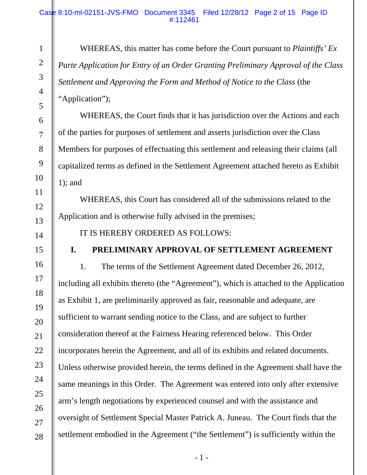#### Case 8:10-ml-02151-JVS-FMO Document 3345 Filed 12/28/12 Page 2 of 15 Page ID #:112461

WHEREAS, this matter has come before the Court pursuant to *Plaintiffs' Ex Parte Application for Entry of an Order Granting Preliminary Approval of the Class Settlement and Approving the Form and Method of Notice to the Class* (the "Application");

WHEREAS, the Court finds that it has jurisdiction over the Actions and each of the parties for purposes of settlement and asserts jurisdiction over the Class Members for purposes of effectuating this settlement and releasing their claims (all capitalized terms as defined in the Settlement Agreement attached hereto as Exhibit 1); and

WHEREAS, this Court has considered all of the submissions related to the Application and is otherwise fully advised in the premises;

IT IS HEREBY ORDERED AS FOLLOWS:

# **I. PRELIMINARY APPROVAL OF SETTLEMENT AGREEMENT**

1. The terms of the Settlement Agreement dated December 26, 2012, including all exhibits thereto (the "Agreement"), which is attached to the Application as Exhibit 1, are preliminarily approved as fair, reasonable and adequate, are sufficient to warrant sending notice to the Class, and are subject to further consideration thereof at the Fairness Hearing referenced below. This Order incorporates herein the Agreement, and all of its exhibits and related documents. Unless otherwise provided herein, the terms defined in the Agreement shall have the same meanings in this Order. The Agreement was entered into only after extensive arm's length negotiations by experienced counsel and with the assistance and oversight of Settlement Special Master Patrick A. Juneau. The Court finds that the settlement embodied in the Agreement ("the Settlement") is sufficiently within the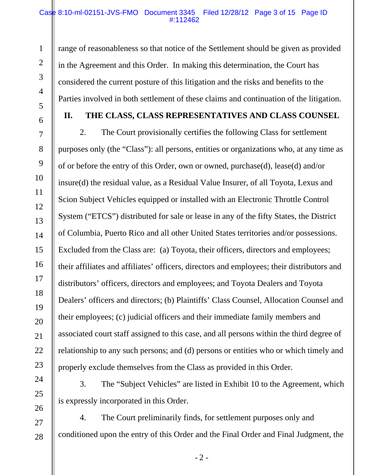#### Case 8:10-ml-02151-JVS-FMO Document 3345 Filed 12/28/12 Page 3 of 15 Page ID #:112462

range of reasonableness so that notice of the Settlement should be given as provided in the Agreement and this Order. In making this determination, the Court has considered the current posture of this litigation and the risks and benefits to the Parties involved in both settlement of these claims and continuation of the litigation.

1

2

3

4

5

7

6

8

9

10

11

12

13

14

15

16

17

18

19

20

21

22

23

24

25

26

27

28

## **II. THE CLASS, CLASS REPRESENTATIVES AND CLASS COUNSEL**

2. The Court provisionally certifies the following Class for settlement purposes only (the "Class"): all persons, entities or organizations who, at any time as of or before the entry of this Order, own or owned, purchase(d), lease(d) and/or insure(d) the residual value, as a Residual Value Insurer, of all Toyota, Lexus and Scion Subject Vehicles equipped or installed with an Electronic Throttle Control System ("ETCS") distributed for sale or lease in any of the fifty States, the District of Columbia, Puerto Rico and all other United States territories and/or possessions. Excluded from the Class are: (a) Toyota, their officers, directors and employees; their affiliates and affiliates' officers, directors and employees; their distributors and distributors' officers, directors and employees; and Toyota Dealers and Toyota Dealers' officers and directors; (b) Plaintiffs' Class Counsel, Allocation Counsel and their employees; (c) judicial officers and their immediate family members and associated court staff assigned to this case, and all persons within the third degree of relationship to any such persons; and (d) persons or entities who or which timely and properly exclude themselves from the Class as provided in this Order.

3. The "Subject Vehicles" are listed in Exhibit 10 to the Agreement, which is expressly incorporated in this Order.

4. The Court preliminarily finds, for settlement purposes only and conditioned upon the entry of this Order and the Final Order and Final Judgment, the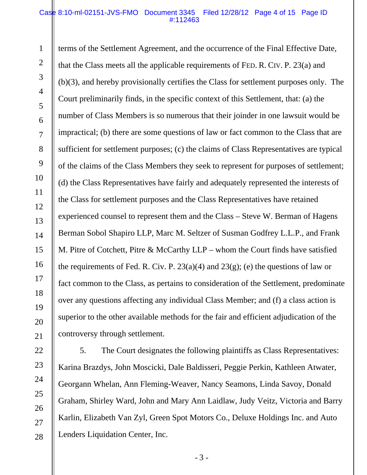#### Case 8:10-ml-02151-JVS-FMO Document 3345 Filed 12/28/12 Page 4 of 15 Page ID #:112463

1

2

3

4

5

6

7

8

9

10

11

12

13

14

15

16

17

18

19

20

21

22

23

24

25

26

27

28

terms of the Settlement Agreement, and the occurrence of the Final Effective Date, that the Class meets all the applicable requirements of FED. R. CIV. P. 23(a) and (b)(3), and hereby provisionally certifies the Class for settlement purposes only. The Court preliminarily finds, in the specific context of this Settlement, that: (a) the number of Class Members is so numerous that their joinder in one lawsuit would be impractical; (b) there are some questions of law or fact common to the Class that are sufficient for settlement purposes; (c) the claims of Class Representatives are typical of the claims of the Class Members they seek to represent for purposes of settlement; (d) the Class Representatives have fairly and adequately represented the interests of the Class for settlement purposes and the Class Representatives have retained experienced counsel to represent them and the Class – Steve W. Berman of Hagens Berman Sobol Shapiro LLP, Marc M. Seltzer of Susman Godfrey L.L.P., and Frank M. Pitre of Cotchett, Pitre & McCarthy LLP – whom the Court finds have satisfied the requirements of Fed. R. Civ. P.  $23(a)(4)$  and  $23(g)$ ; (e) the questions of law or fact common to the Class, as pertains to consideration of the Settlement, predominate over any questions affecting any individual Class Member; and (f) a class action is superior to the other available methods for the fair and efficient adjudication of the controversy through settlement.

5. The Court designates the following plaintiffs as Class Representatives: Karina Brazdys, John Moscicki, Dale Baldisseri, Peggie Perkin, Kathleen Atwater, Georgann Whelan, Ann Fleming-Weaver, Nancy Seamons, Linda Savoy, Donald Graham, Shirley Ward, John and Mary Ann Laidlaw, Judy Veitz, Victoria and Barry Karlin, Elizabeth Van Zyl, Green Spot Motors Co., Deluxe Holdings Inc. and Auto Lenders Liquidation Center, Inc.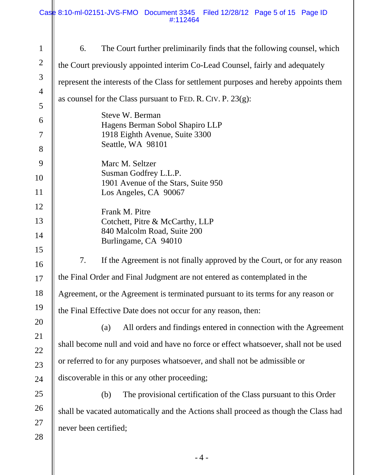| $\mathbf{1}$   | 6.                                                                                    | The Court further preliminarily finds that the following counsel, which              |  |  |  |
|----------------|---------------------------------------------------------------------------------------|--------------------------------------------------------------------------------------|--|--|--|
| $\overline{2}$ | the Court previously appointed interim Co-Lead Counsel, fairly and adequately         |                                                                                      |  |  |  |
| 3              | represent the interests of the Class for settlement purposes and hereby appoints them |                                                                                      |  |  |  |
| $\overline{4}$ | as counsel for the Class pursuant to FED. R. CIV. P. $23(g)$ :                        |                                                                                      |  |  |  |
| 5              |                                                                                       | Steve W. Berman                                                                      |  |  |  |
| 6              |                                                                                       | Hagens Berman Sobol Shapiro LLP                                                      |  |  |  |
| 7              |                                                                                       | 1918 Eighth Avenue, Suite 3300                                                       |  |  |  |
| 8              |                                                                                       | Seattle, WA 98101                                                                    |  |  |  |
| 9              |                                                                                       | Marc M. Seltzer                                                                      |  |  |  |
| 10             | Susman Godfrey L.L.P.<br>1901 Avenue of the Stars, Suite 950                          |                                                                                      |  |  |  |
| 11             |                                                                                       | Los Angeles, CA 90067                                                                |  |  |  |
| 12             |                                                                                       | Frank M. Pitre                                                                       |  |  |  |
| 13             |                                                                                       | Cotchett, Pitre & McCarthy, LLP                                                      |  |  |  |
| 14             |                                                                                       | 840 Malcolm Road, Suite 200<br>Burlingame, CA 94010                                  |  |  |  |
| 15             |                                                                                       |                                                                                      |  |  |  |
| 16             | 7.                                                                                    | If the Agreement is not finally approved by the Court, or for any reason             |  |  |  |
| 17             | the Final Order and Final Judgment are not entered as contemplated in the             |                                                                                      |  |  |  |
| 18             |                                                                                       | Agreement, or the Agreement is terminated pursuant to its terms for any reason or    |  |  |  |
| 19             |                                                                                       | the Final Effective Date does not occur for any reason, then:                        |  |  |  |
| 20             |                                                                                       | All orders and findings entered in connection with the Agreement<br>(a)              |  |  |  |
| 21             |                                                                                       |                                                                                      |  |  |  |
| 22             | shall become null and void and have no force or effect whatsoever, shall not be used  |                                                                                      |  |  |  |
| 23             | or referred to for any purposes whatsoever, and shall not be admissible or            |                                                                                      |  |  |  |
| 24             |                                                                                       | discoverable in this or any other proceeding;                                        |  |  |  |
| 25             |                                                                                       | The provisional certification of the Class pursuant to this Order<br>(b)             |  |  |  |
| 26             |                                                                                       | shall be vacated automatically and the Actions shall proceed as though the Class had |  |  |  |
| 27             | never been certified;                                                                 |                                                                                      |  |  |  |
| 28             |                                                                                       |                                                                                      |  |  |  |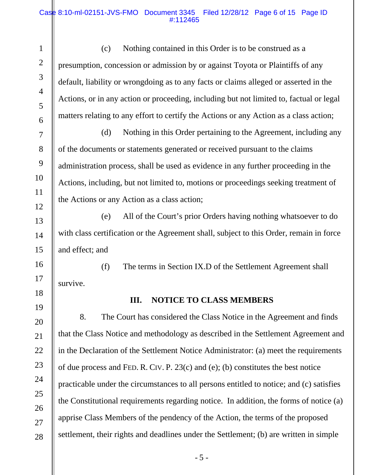#### Case 8:10-ml-02151-JVS-FMO Document 3345 Filed 12/28/12 Page 6 of 15 Page ID #:112465

 (c) Nothing contained in this Order is to be construed as a presumption, concession or admission by or against Toyota or Plaintiffs of any default, liability or wrongdoing as to any facts or claims alleged or asserted in the Actions, or in any action or proceeding, including but not limited to, factual or legal matters relating to any effort to certify the Actions or any Action as a class action;

 (d) Nothing in this Order pertaining to the Agreement, including any of the documents or statements generated or received pursuant to the claims administration process, shall be used as evidence in any further proceeding in the Actions, including, but not limited to, motions or proceedings seeking treatment of the Actions or any Action as a class action;

 (e) All of the Court's prior Orders having nothing whatsoever to do with class certification or the Agreement shall, subject to this Order, remain in force and effect; and

 (f) The terms in Section IX.D of the Settlement Agreement shall survive.

18 19

20

21

22

23

24

25

26

27

28

14

15

16

17

## **III. NOTICE TO CLASS MEMBERS**

8. The Court has considered the Class Notice in the Agreement and finds that the Class Notice and methodology as described in the Settlement Agreement and in the Declaration of the Settlement Notice Administrator: (a) meet the requirements of due process and FED. R. CIV. P. 23(c) and (e); (b) constitutes the best notice practicable under the circumstances to all persons entitled to notice; and (c) satisfies the Constitutional requirements regarding notice. In addition, the forms of notice (a) apprise Class Members of the pendency of the Action, the terms of the proposed settlement, their rights and deadlines under the Settlement; (b) are written in simple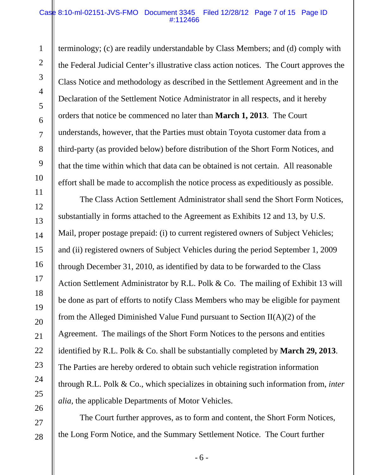#### Case 8:10-ml-02151-JVS-FMO Document 3345 Filed 12/28/12 Page 7 of 15 Page ID #:112466

1

2

3

4

5

6

7

8

9

10

11

12

13

14

15

16

17

18

19

20

21

22

23

24

25

26

27

28

terminology; (c) are readily understandable by Class Members; and (d) comply with the Federal Judicial Center's illustrative class action notices. The Court approves the Class Notice and methodology as described in the Settlement Agreement and in the Declaration of the Settlement Notice Administrator in all respects, and it hereby orders that notice be commenced no later than **March 1, 2013**. The Court understands, however, that the Parties must obtain Toyota customer data from a third-party (as provided below) before distribution of the Short Form Notices, and that the time within which that data can be obtained is not certain. All reasonable effort shall be made to accomplish the notice process as expeditiously as possible.

The Class Action Settlement Administrator shall send the Short Form Notices, substantially in forms attached to the Agreement as Exhibits 12 and 13, by U.S. Mail, proper postage prepaid: (i) to current registered owners of Subject Vehicles; and (ii) registered owners of Subject Vehicles during the period September 1, 2009 through December 31, 2010, as identified by data to be forwarded to the Class Action Settlement Administrator by R.L. Polk & Co. The mailing of Exhibit 13 will be done as part of efforts to notify Class Members who may be eligible for payment from the Alleged Diminished Value Fund pursuant to Section  $II(A)(2)$  of the Agreement. The mailings of the Short Form Notices to the persons and entities identified by R.L. Polk & Co. shall be substantially completed by **March 29, 2013**. The Parties are hereby ordered to obtain such vehicle registration information through R.L. Polk & Co., which specializes in obtaining such information from, *inter alia*, the applicable Departments of Motor Vehicles.

The Court further approves, as to form and content, the Short Form Notices, the Long Form Notice, and the Summary Settlement Notice. The Court further

- 6 -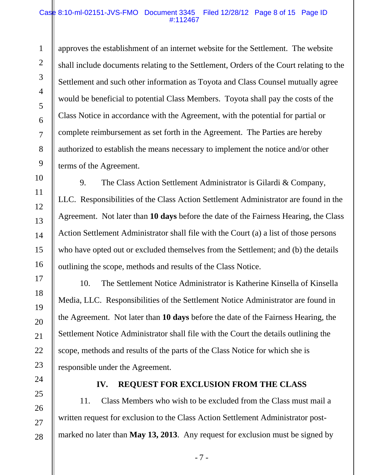#### Case 8:10-ml-02151-JVS-FMO Document 3345 Filed 12/28/12 Page 8 of 15 Page ID #:112467

approves the establishment of an internet website for the Settlement. The website shall include documents relating to the Settlement, Orders of the Court relating to the Settlement and such other information as Toyota and Class Counsel mutually agree would be beneficial to potential Class Members. Toyota shall pay the costs of the Class Notice in accordance with the Agreement, with the potential for partial or complete reimbursement as set forth in the Agreement. The Parties are hereby authorized to establish the means necessary to implement the notice and/or other terms of the Agreement.

9. The Class Action Settlement Administrator is Gilardi & Company, LLC. Responsibilities of the Class Action Settlement Administrator are found in the Agreement. Not later than **10 days** before the date of the Fairness Hearing, the Class Action Settlement Administrator shall file with the Court (a) a list of those persons who have opted out or excluded themselves from the Settlement; and (b) the details outlining the scope, methods and results of the Class Notice.

10. The Settlement Notice Administrator is Katherine Kinsella of Kinsella Media, LLC. Responsibilities of the Settlement Notice Administrator are found in the Agreement. Not later than **10 days** before the date of the Fairness Hearing, the Settlement Notice Administrator shall file with the Court the details outlining the scope, methods and results of the parts of the Class Notice for which she is responsible under the Agreement.

24 25

26

27

28

1

2

3

4

5

6

7

8

9

10

11

12

13

14

15

16

17

18

19

20

21

22

23

## **IV. REQUEST FOR EXCLUSION FROM THE CLASS**

11. Class Members who wish to be excluded from the Class must mail a written request for exclusion to the Class Action Settlement Administrator postmarked no later than **May 13, 2013**. Any request for exclusion must be signed by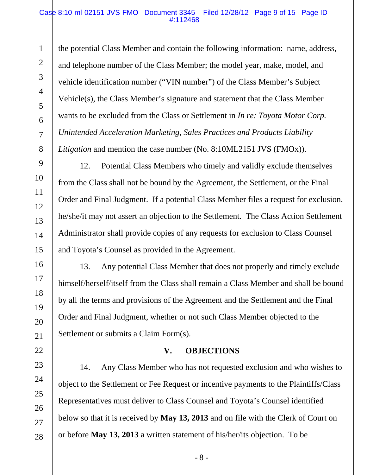#### Case 8:10-ml-02151-JVS-FMO Document 3345 Filed 12/28/12 Page 9 of 15 Page ID #:112468

the potential Class Member and contain the following information: name, address, and telephone number of the Class Member; the model year, make, model, and vehicle identification number ("VIN number") of the Class Member's Subject Vehicle(s), the Class Member's signature and statement that the Class Member wants to be excluded from the Class or Settlement in *In re: Toyota Motor Corp. Unintended Acceleration Marketing, Sales Practices and Products Liability Litigation* and mention the case number (No. 8:10ML2151 JVS (FMOx)).

12. Potential Class Members who timely and validly exclude themselves from the Class shall not be bound by the Agreement, the Settlement, or the Final Order and Final Judgment. If a potential Class Member files a request for exclusion, he/she/it may not assert an objection to the Settlement. The Class Action Settlement Administrator shall provide copies of any requests for exclusion to Class Counsel and Toyota's Counsel as provided in the Agreement.

13. Any potential Class Member that does not properly and timely exclude himself/herself/itself from the Class shall remain a Class Member and shall be bound by all the terms and provisions of the Agreement and the Settlement and the Final Order and Final Judgment, whether or not such Class Member objected to the Settlement or submits a Claim Form(s).

## **V. OBJECTIONS**

14. Any Class Member who has not requested exclusion and who wishes to object to the Settlement or Fee Request or incentive payments to the Plaintiffs/Class Representatives must deliver to Class Counsel and Toyota's Counsel identified below so that it is received by **May 13, 2013** and on file with the Clerk of Court on or before **May 13, 2013** a written statement of his/her/its objection. To be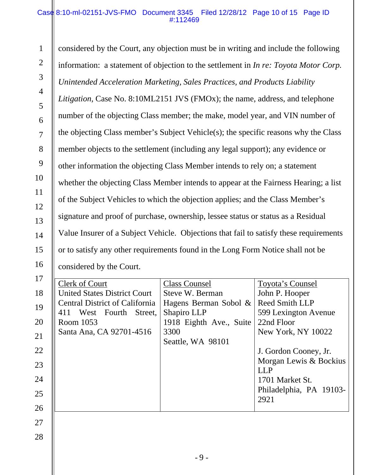#### Case 8:10-ml-02151-JVS-FMO Document 3345 Filed 12/28/12 Page 10 of 15 Page ID #:112469

1

2

3

4

5

6

7

8

9

10

11

12

13

14

15

16

considered by the Court, any objection must be in writing and include the following information: a statement of objection to the settlement in *In re: Toyota Motor Corp. Unintended Acceleration Marketing, Sales Practices, and Products Liability Litigation*, Case No. 8:10ML2151 JVS (FMOx); the name, address, and telephone number of the objecting Class member; the make, model year, and VIN number of the objecting Class member's Subject Vehicle(s); the specific reasons why the Class member objects to the settlement (including any legal support); any evidence or other information the objecting Class Member intends to rely on; a statement whether the objecting Class Member intends to appear at the Fairness Hearing; a list of the Subject Vehicles to which the objection applies; and the Class Member's signature and proof of purchase, ownership, lessee status or status as a Residual Value Insurer of a Subject Vehicle. Objections that fail to satisfy these requirements or to satisfy any other requirements found in the Long Form Notice shall not be considered by the Court.

| 17 | Clerk of Court                        | <b>Class Counsel</b>    | Toyota's Counsel        |
|----|---------------------------------------|-------------------------|-------------------------|
| 18 | <b>United States District Court</b>   | Steve W. Berman         | John P. Hooper          |
| 19 | <b>Central District of California</b> | Hagens Berman Sobol &   | Reed Smith LLP          |
|    | West Fourth Street,<br>411            | Shapiro LLP             | 599 Lexington Avenue    |
| 20 | Room 1053                             | 1918 Eighth Ave., Suite | 22nd Floor              |
| 21 | Santa Ana, CA 92701-4516              | 3300                    | New York, NY 10022      |
|    |                                       | Seattle, WA 98101       |                         |
| 22 |                                       |                         | J. Gordon Cooney, Jr.   |
| 23 |                                       |                         | Morgan Lewis & Bockius  |
|    |                                       |                         | <b>LLP</b>              |
| 24 |                                       |                         | 1701 Market St.         |
| 25 |                                       |                         | Philadelphia, PA 19103- |
|    |                                       |                         | 2921                    |
| 26 |                                       |                         |                         |
| 27 |                                       |                         |                         |
|    |                                       |                         |                         |
| 28 |                                       |                         |                         |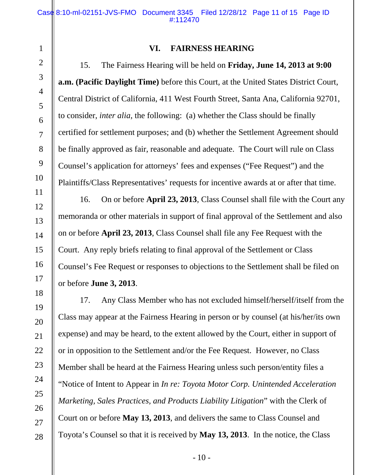4

5

6

7

8

9

10

11

12

13

14

15

16

17

18

19

20

21

22

23

24

25

26

27

28

## **VI. FAIRNESS HEARING**

15. The Fairness Hearing will be held on **Friday, June 14, 2013 at 9:00 a.m. (Pacific Daylight Time)** before this Court, at the United States District Court, Central District of California, 411 West Fourth Street, Santa Ana, California 92701, to consider, *inter alia*, the following: (a) whether the Class should be finally certified for settlement purposes; and (b) whether the Settlement Agreement should be finally approved as fair, reasonable and adequate. The Court will rule on Class Counsel's application for attorneys' fees and expenses ("Fee Request") and the Plaintiffs/Class Representatives' requests for incentive awards at or after that time.

16. On or before **April 23, 2013**, Class Counsel shall file with the Court any memoranda or other materials in support of final approval of the Settlement and also on or before **April 23, 2013**, Class Counsel shall file any Fee Request with the Court. Any reply briefs relating to final approval of the Settlement or Class Counsel's Fee Request or responses to objections to the Settlement shall be filed on or before **June 3, 2013**.

17. Any Class Member who has not excluded himself/herself/itself from the Class may appear at the Fairness Hearing in person or by counsel (at his/her/its own expense) and may be heard, to the extent allowed by the Court, either in support of or in opposition to the Settlement and/or the Fee Request. However, no Class Member shall be heard at the Fairness Hearing unless such person/entity files a "Notice of Intent to Appear in *In re: Toyota Motor Corp. Unintended Acceleration Marketing, Sales Practices, and Products Liability Litigation*" with the Clerk of Court on or before **May 13, 2013**, and delivers the same to Class Counsel and Toyota's Counsel so that it is received by **May 13, 2013**. In the notice, the Class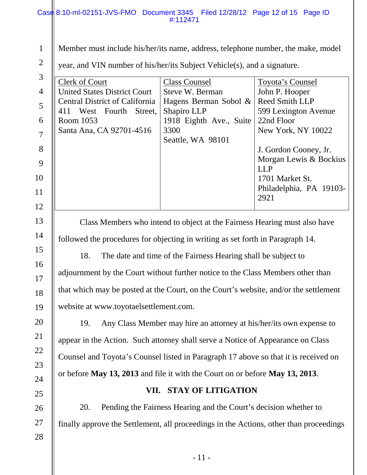|                                                                                            | Case 8:10-ml-02151-JVS-FMO Document 3345 Filed 12/28/12 Page 12 of 15 Page ID<br>#:112471                                                                                                                                                                                                                                                                                                                                                                                                                                                                                                                                                                                                                                                                                                                                   |  |  |  |
|--------------------------------------------------------------------------------------------|-----------------------------------------------------------------------------------------------------------------------------------------------------------------------------------------------------------------------------------------------------------------------------------------------------------------------------------------------------------------------------------------------------------------------------------------------------------------------------------------------------------------------------------------------------------------------------------------------------------------------------------------------------------------------------------------------------------------------------------------------------------------------------------------------------------------------------|--|--|--|
| $\mathbf{1}$<br>$\overline{2}$<br>3<br>4<br>5<br>6<br>$\overline{7}$<br>8<br>9<br>10<br>11 | Member must include his/her/its name, address, telephone number, the make, model<br>year, and VIN number of his/her/its Subject Vehicle(s), and a signature.<br><b>Clerk of Court</b><br><b>Class Counsel</b><br><b>Toyota's Counsel</b><br><b>United States District Court</b><br>Steve W. Berman<br>John P. Hooper<br>Reed Smith LLP<br><b>Central District of California</b><br>Hagens Berman Sobol &<br>411 West Fourth Street,<br>Shapiro LLP<br>599 Lexington Avenue<br>22nd Floor<br>Room 1053<br>1918 Eighth Ave., Suite<br>Santa Ana, CA 92701-4516<br>3300<br>New York, NY 10022<br>Seattle, WA 98101<br>J. Gordon Cooney, Jr.<br>Morgan Lewis & Bockius<br><b>LLP</b><br>1701 Market St.<br>Philadelphia, PA 19103-<br>2921                                                                                      |  |  |  |
| 12<br>13<br>14<br>15<br>16<br>17<br>18<br>19<br>20<br>21<br>22<br>23<br>24<br>25           | Class Members who intend to object at the Fairness Hearing must also have<br>followed the procedures for objecting in writing as set forth in Paragraph 14.<br>18.<br>The date and time of the Fairness Hearing shall be subject to<br>adjournment by the Court without further notice to the Class Members other than<br>that which may be posted at the Court, on the Court's website, and/or the settlement<br>website at www.toyotaelsettlement.com.<br>Any Class Member may hire an attorney at his/her/its own expense to<br>19.<br>appear in the Action. Such attorney shall serve a Notice of Appearance on Class<br>Counsel and Toyota's Counsel listed in Paragraph 17 above so that it is received on<br>or before May 13, 2013 and file it with the Court on or before May 13, 2013.<br>VII. STAY OF LITIGATION |  |  |  |
| 26                                                                                         | Pending the Fairness Hearing and the Court's decision whether to<br>20.                                                                                                                                                                                                                                                                                                                                                                                                                                                                                                                                                                                                                                                                                                                                                     |  |  |  |
| 27<br>28                                                                                   | finally approve the Settlement, all proceedings in the Actions, other than proceedings                                                                                                                                                                                                                                                                                                                                                                                                                                                                                                                                                                                                                                                                                                                                      |  |  |  |

- 11 -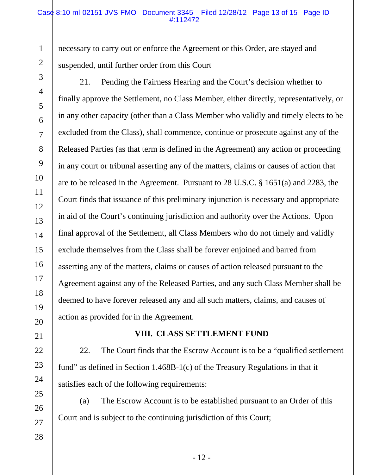#### Case 8:10-ml-02151-JVS-FMO Document 3345 Filed 12/28/12 Page 13 of 15 Page ID #:112472

necessary to carry out or enforce the Agreement or this Order, are stayed and suspended, until further order from this Court

21. Pending the Fairness Hearing and the Court's decision whether to finally approve the Settlement, no Class Member, either directly, representatively, or in any other capacity (other than a Class Member who validly and timely elects to be excluded from the Class), shall commence, continue or prosecute against any of the Released Parties (as that term is defined in the Agreement) any action or proceeding in any court or tribunal asserting any of the matters, claims or causes of action that are to be released in the Agreement. Pursuant to 28 U.S.C. § 1651(a) and 2283, the Court finds that issuance of this preliminary injunction is necessary and appropriate in aid of the Court's continuing jurisdiction and authority over the Actions. Upon final approval of the Settlement, all Class Members who do not timely and validly exclude themselves from the Class shall be forever enjoined and barred from asserting any of the matters, claims or causes of action released pursuant to the Agreement against any of the Released Parties, and any such Class Member shall be deemed to have forever released any and all such matters, claims, and causes of action as provided for in the Agreement.

## **VIII. CLASS SETTLEMENT FUND**

22. The Court finds that the Escrow Account is to be a "qualified settlement fund" as defined in Section 1.468B-1(c) of the Treasury Regulations in that it satisfies each of the following requirements:

(a) The Escrow Account is to be established pursuant to an Order of this Court and is subject to the continuing jurisdiction of this Court;

1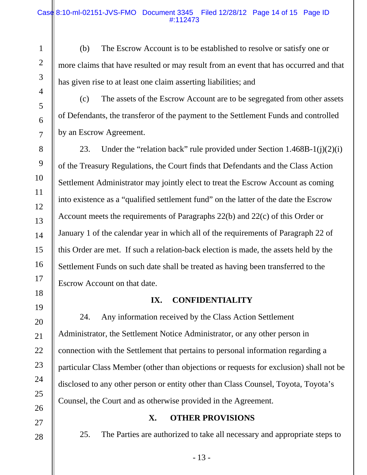(b) The Escrow Account is to be established to resolve or satisfy one or more claims that have resulted or may result from an event that has occurred and that has given rise to at least one claim asserting liabilities; and

4 5

11

12

13

17

21

27

1

2

3

(c) The assets of the Escrow Account are to be segregated from other assets of Defendants, the transferor of the payment to the Settlement Funds and controlled by an Escrow Agreement.

23. Under the "relation back" rule provided under Section 1.468B-1(j)(2)(i) of the Treasury Regulations, the Court finds that Defendants and the Class Action Settlement Administrator may jointly elect to treat the Escrow Account as coming into existence as a "qualified settlement fund" on the latter of the date the Escrow Account meets the requirements of Paragraphs 22(b) and 22(c) of this Order or January 1 of the calendar year in which all of the requirements of Paragraph 22 of this Order are met. If such a relation-back election is made, the assets held by the Settlement Funds on such date shall be treated as having been transferred to the Escrow Account on that date.

## **IX. CONFIDENTIALITY**

24. Any information received by the Class Action Settlement Administrator, the Settlement Notice Administrator, or any other person in connection with the Settlement that pertains to personal information regarding a particular Class Member (other than objections or requests for exclusion) shall not be disclosed to any other person or entity other than Class Counsel, Toyota, Toyota's Counsel, the Court and as otherwise provided in the Agreement.

# **X. OTHER PROVISIONS**

25. The Parties are authorized to take all necessary and appropriate steps to